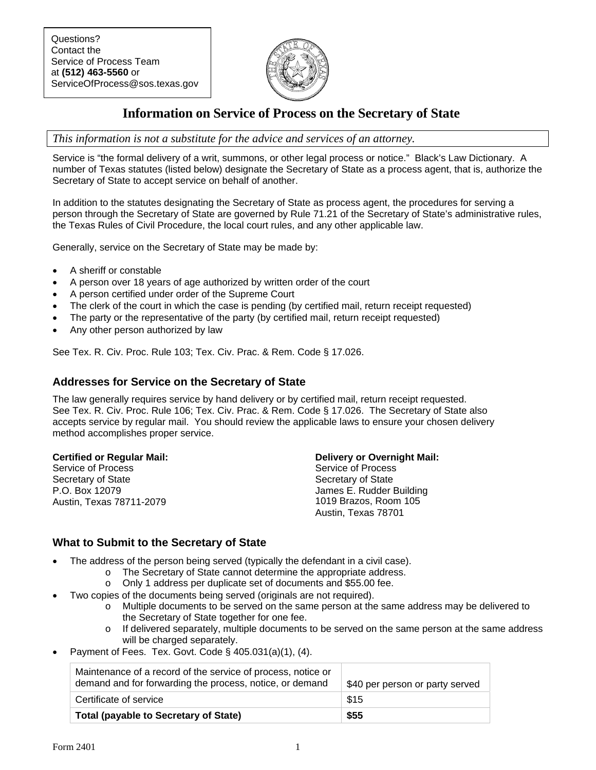

# **Information on Service of Process on the Secretary of State**

*This information is not a substitute for the advice and services of an attorney.* 

Service is "the formal delivery of a writ, summons, or other legal process or notice." Black's Law Dictionary. A number of Texas statutes (listed below) designate the Secretary of State as a process agent, that is, authorize the Secretary of State to accept service on behalf of another.

In addition to the statutes designating the Secretary of State as process agent, the procedures for serving a person through the Secretary of State are governed by Rule 71.21 of the Secretary of State's administrative rules, the Texas Rules of Civil Procedure, the local court rules, and any other applicable law.

Generally, service on the Secretary of State may be made by:

- A sheriff or constable
- A person over 18 years of age authorized by written order of the court
- A person certified under order of the Supreme Court
- The clerk of the court in which the case is pending (by certified mail, return receipt requested)
- The party or the representative of the party (by certified mail, return receipt requested)
- Any other person authorized by law

See Tex. R. Civ. Proc. Rule 103; Tex. Civ. Prac. & Rem. Code § 17.026.

#### **Addresses for Service on the Secretary of State**

The law generally requires service by hand delivery or by certified mail, return receipt requested. See Tex. R. Civ. Proc. Rule 106; Tex. Civ. Prac. & Rem. Code § 17.026. The Secretary of State also accepts service by regular mail. You should review the applicable laws to ensure your chosen delivery method accomplishes proper service.

#### **Certified or Regular Mail:**

Service of Process Secretary of State P.O. Box 12079 Austin, Texas 78711-2079

#### **Delivery or Overnight Mail:**

Service of Process Secretary of State James E. Rudder Building 1019 Brazos, Room 105 Austin, Texas 78701

### **What to Submit to the Secretary of State**

- The address of the person being served (typically the defendant in a civil case).
	- o The Secretary of State cannot determine the appropriate address.
		- o Only 1 address per duplicate set of documents and \$55.00 fee.
- Two copies of the documents being served (originals are not required).
	- o Multiple documents to be served on the same person at the same address may be delivered to the Secretary of State together for one fee.
	- $\circ$  If delivered separately, multiple documents to be served on the same person at the same address will be charged separately.
- Payment of Fees. Tex. Govt. Code § 405.031(a)(1), (4).

| Maintenance of a record of the service of process, notice or<br>demand and for forwarding the process, notice, or demand | \$40 per person or party served |
|--------------------------------------------------------------------------------------------------------------------------|---------------------------------|
| Certificate of service                                                                                                   | \$15                            |
| <b>Total (payable to Secretary of State)</b>                                                                             | \$55                            |